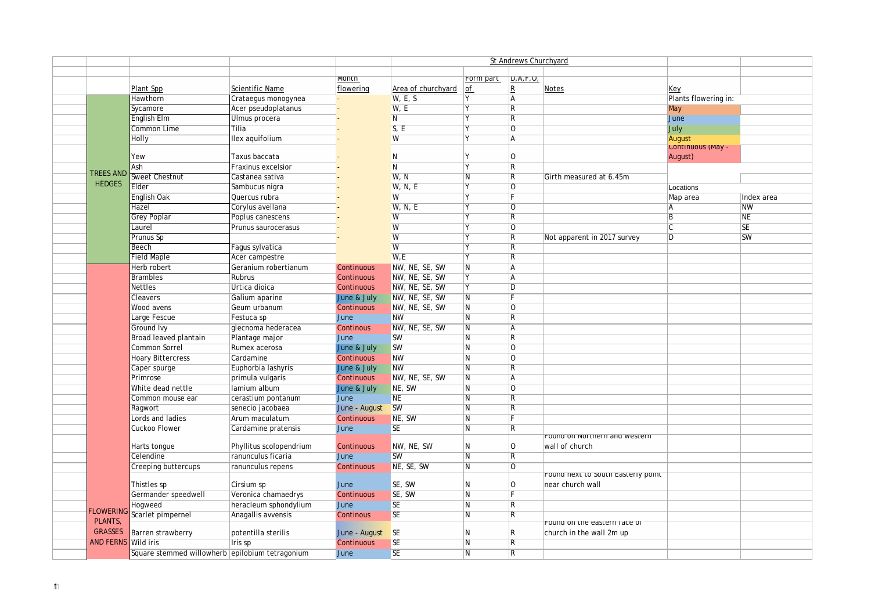|                            |                                                 |                           |               | St Andrews Churchyard   |                         |                         |                                    |                      |            |
|----------------------------|-------------------------------------------------|---------------------------|---------------|-------------------------|-------------------------|-------------------------|------------------------------------|----------------------|------------|
|                            |                                                 |                           |               |                         |                         |                         |                                    |                      |            |
|                            |                                                 |                           | <b>MONTH</b>  |                         | Form part               | D, A, F, U,             |                                    |                      |            |
|                            | Plant Spp                                       | Scientific Name           | flowering     | Area of churchyard      | of                      | $\vert$ R               | <b>Notes</b>                       | Key                  |            |
|                            | Hawthorn                                        | Crataegus monogynea       |               | $\overline{W}$ , E, S   | Y                       | $\overline{A}$          |                                    | Plants flowering in: |            |
|                            | Sycamore                                        | Acer pseudoplatanus       |               | W, E                    |                         | $\overline{\mathsf{R}}$ |                                    | May                  |            |
|                            | English Elm                                     | Ulmus procera             |               | $\overline{N}$          |                         | R                       |                                    | June                 |            |
|                            | Common Lime                                     | Tilia                     |               | S, E                    |                         | 10                      |                                    | July                 |            |
|                            | Holly                                           | llex aquifolium           |               | W                       |                         | l A                     |                                    | August               |            |
|                            |                                                 |                           |               |                         |                         |                         |                                    | Continuous (May -    |            |
|                            | Yew                                             | Taxus baccata             |               | N                       |                         | 10                      |                                    | August)              |            |
| <b>TREES AND</b>           | Ash                                             | <b>Fraxinus excelsior</b> |               | $\overline{\mathsf{N}}$ |                         | $\overline{\mathsf{R}}$ |                                    |                      |            |
| <b>HEDGES</b>              | Sweet Chestnut                                  | Castanea sativa           |               | W, N                    | l N                     | $\overline{\mathsf{R}}$ | Girth measured at 6.45m            |                      |            |
|                            | Elder                                           | Sambucus nigra            |               | W, N, E                 | <b>V</b>                | $\overline{0}$          |                                    | Locations            |            |
|                            | English Oak                                     | Quercus rubra             |               | W                       |                         | F                       |                                    | Map area             | Index area |
|                            | Hazel                                           | Corylus avellana          |               | W, N, E                 |                         | 10                      |                                    | l A                  | <b>NW</b>  |
|                            | Grey Poplar                                     | Poplus canescens          |               | W                       |                         | $\overline{\mathsf{R}}$ |                                    | $\overline{B}$       | ΝE         |
|                            | Laurel                                          | Prunus saurocerasus       |               | W                       |                         | 10                      |                                    | IC.                  | <b>SE</b>  |
|                            | Prunus Sp                                       |                           |               | W                       |                         | $\overline{\mathsf{R}}$ | Not apparent in 2017 survey        | $\overline{D}$       | <b>SW</b>  |
|                            | Beech                                           | Fagus sylvatica           |               | $\overline{W}$          |                         | $\overline{\mathsf{R}}$ |                                    |                      |            |
|                            | <b>Field Maple</b>                              | Acer campestre            |               | W.E                     |                         | $\overline{\mathsf{R}}$ |                                    |                      |            |
|                            | Herb robert                                     | Geranium robertianum      | Continuous    | NW, NE, SE, SW          | N                       | Ā                       |                                    |                      |            |
|                            | <b>Brambles</b>                                 | Rubrus                    | Continuous    | NW, NE, SE, SW          | Y                       | $\overline{A}$          |                                    |                      |            |
|                            | <b>Nettles</b>                                  | Urtica dioica             | Continuous    | NW, NE, SE, SW          |                         | $\overline{D}$          |                                    |                      |            |
|                            | Cleavers                                        | Galium aparine            | June & July   | NW, NE, SE, SW          | $\overline{N}$          |                         |                                    |                      |            |
|                            | Wood avens                                      | Geum urbanum              | Continuous    | NW, NE, SE, SW          | $\overline{N}$          | $\overline{O}$          |                                    |                      |            |
|                            | Large Fescue                                    | Festuca sp                | June          | <b>NW</b>               | $\overline{N}$          | $\overline{R}$          |                                    |                      |            |
|                            | Ground Ivy                                      | glecnoma hederacea        | Continous     | NW, NE, SE, SW          | N                       | A                       |                                    |                      |            |
|                            | Broad leaved plantain                           | Plantage major            | June          | <b>SW</b>               | $\overline{N}$          | $\overline{\mathsf{R}}$ |                                    |                      |            |
|                            | Common Sorrel                                   | Rumex acerosa             | June & July   | <b>SW</b>               | $\overline{\mathsf{N}}$ | lo                      |                                    |                      |            |
|                            | <b>Hoary Bittercress</b>                        | Cardamine                 | Continuous    | <b>NW</b>               | $\overline{N}$          | 0                       |                                    |                      |            |
|                            | Caper spurge                                    | Euphorbia lashyris        | June & July   | <b>NW</b>               | $\overline{\mathsf{N}}$ | $\overline{\mathsf{R}}$ |                                    |                      |            |
|                            | Primrose                                        | primula vulgaris          | Continuous    | NW, NE, SE, SW          | $\overline{\mathsf{N}}$ | A                       |                                    |                      |            |
|                            | White dead nettle                               | lamium album              | June & July   | NE, SW                  | $\overline{N}$          | $\overline{0}$          |                                    |                      |            |
|                            | Common mouse ear                                | cerastium pontanum        | <b>June</b>   | <b>NE</b>               | $\overline{\mathsf{N}}$ | $\overline{R}$          |                                    |                      |            |
|                            | Ragwort                                         | senecio jacobaea          | June - August | <b>SW</b>               | $\overline{N}$          | $\overline{\mathsf{R}}$ |                                    |                      |            |
|                            | ords and ladies                                 | Arum maculatum            | Continuous    | NE, SW                  | $\overline{\mathsf{N}}$ | F                       |                                    |                      |            |
|                            | Cuckoo Flower                                   | Cardamine pratensis       | June          | <b>SE</b>               | N                       | $\overline{\mathsf{R}}$ |                                    |                      |            |
|                            |                                                 |                           |               |                         |                         |                         | Found on Northern and Western      |                      |            |
|                            | Harts tongue                                    | Phyllitus scolopendrium   | Continuous    | NW, NE, SW              | N                       | $\Omega$                | wall of church                     |                      |            |
|                            | Celendine                                       | ranunculus ficaria        | June          | <b>SW</b>               | $\overline{N}$          | $\overline{\mathsf{R}}$ |                                    |                      |            |
|                            | Creeping buttercups                             | ranunculus repens         | Continuous    | NE, SE, SW              | $\overline{N}$          | 10                      |                                    |                      |            |
|                            |                                                 |                           |               |                         |                         |                         | Found next to south Easterly point |                      |            |
|                            | Thistles sp                                     | Cirsium sp                | June          | SE, SW                  | IN.                     | 10                      | near church wall                   |                      |            |
|                            | Germander speedwell                             | Veronica chamaedrys       | Continuous    | SE, SW                  | N                       | F                       |                                    |                      |            |
|                            | Hogweed                                         | heracleum sphondylium     | <b>June</b>   | <b>SE</b>               | N                       | $\overline{\mathsf{R}}$ |                                    |                      |            |
| <b>FLOWERING</b>           | Scarlet pimpernel                               | Anagallis avvensis        | Continous     | <b>SE</b>               | $\overline{N}$          | $\overline{R}$          |                                    |                      |            |
| PLANTS,                    |                                                 |                           |               |                         |                         |                         | Found on the eastern race or       |                      |            |
| <b>GRASSES</b>             | Barren strawberry                               | potentilla sterilis       | June - August | <b>SE</b>               | N                       | IR.                     | church in the wall 2m up           |                      |            |
| <b>AND FERNS Wild iris</b> |                                                 | Iris sp                   | Continuous    | <b>SE</b>               | N                       | R                       |                                    |                      |            |
|                            | Square stemmed willowherb epilobium tetragonium |                           | June          | <b>SE</b>               | N                       | $\overline{R}$          |                                    |                      |            |